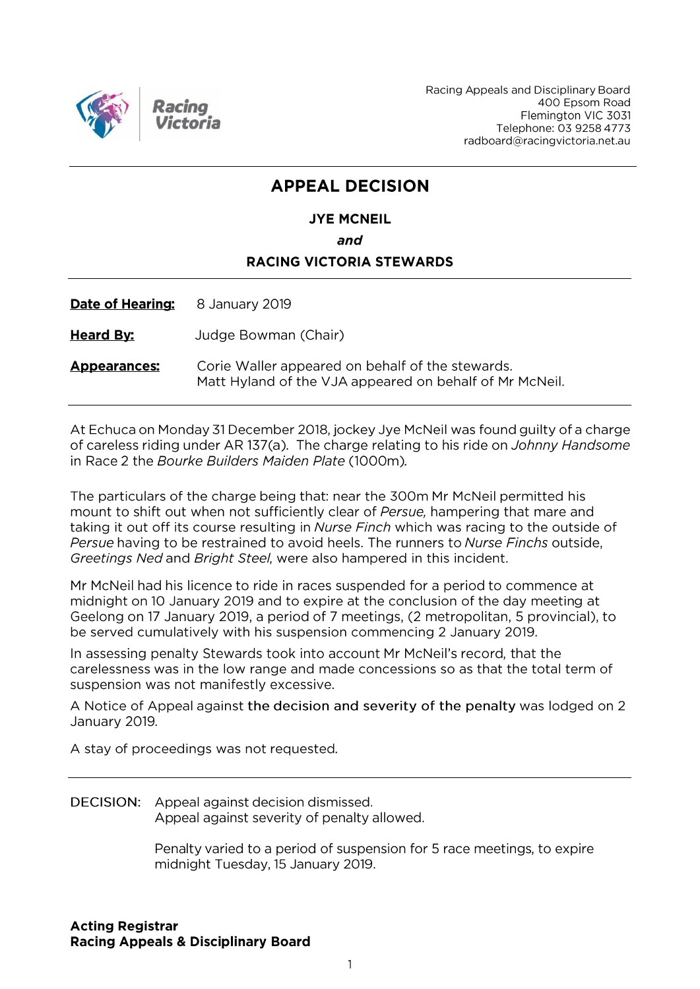

Racing Appeals and Disciplinary Board 400 Epsom Road Flemington VIC 3031 Telephone: 03 9258 4773 radboard@racingvictoria.net.au

# **APPEAL DECISION**

# **JYE MCNEIL** and **RACING VICTORIA STEWARDS**

Date of Hearing: 8 January 2019

**Heard By:** Judge Bowman (Chair)

Corie Waller appeared on behalf of the stewards. **Appearances:** Matt Hyland of the VJA appeared on behalf of Mr McNeil.

At Echuca on Monday 31 December 2018, jockey Jye McNeil was found guilty of a charge of careless riding under AR 137(a). The charge relating to his ride on Johnny Handsome in Race 2 the Bourke Builders Maiden Plate (1000m).

The particulars of the charge being that: near the 300m Mr McNeil permitted his mount to shift out when not sufficiently clear of Persue, hampering that mare and taking it out off its course resulting in Nurse Finch which was racing to the outside of Persue having to be restrained to avoid heels. The runners to Nurse Finchs outside, Greetings Ned and Bright Steel, were also hampered in this incident.

Mr McNeil had his licence to ride in races suspended for a period to commence at midnight on 10 January 2019 and to expire at the conclusion of the day meeting at Geelong on 17 January 2019, a period of 7 meetings, (2 metropolitan, 5 provincial), to be served cumulatively with his suspension commencing 2 January 2019.

In assessing penalty Stewards took into account Mr McNeil's record, that the carelessness was in the low range and made concessions so as that the total term of suspension was not manifestly excessive.

A Notice of Appeal against the decision and severity of the penalty was lodged on 2 January 2019.

A stay of proceedings was not requested.

DECISION: Appeal against decision dismissed. Appeal against severity of penalty allowed.

> Penalty varied to a period of suspension for 5 race meetings, to expire midnight Tuesday, 15 January 2019.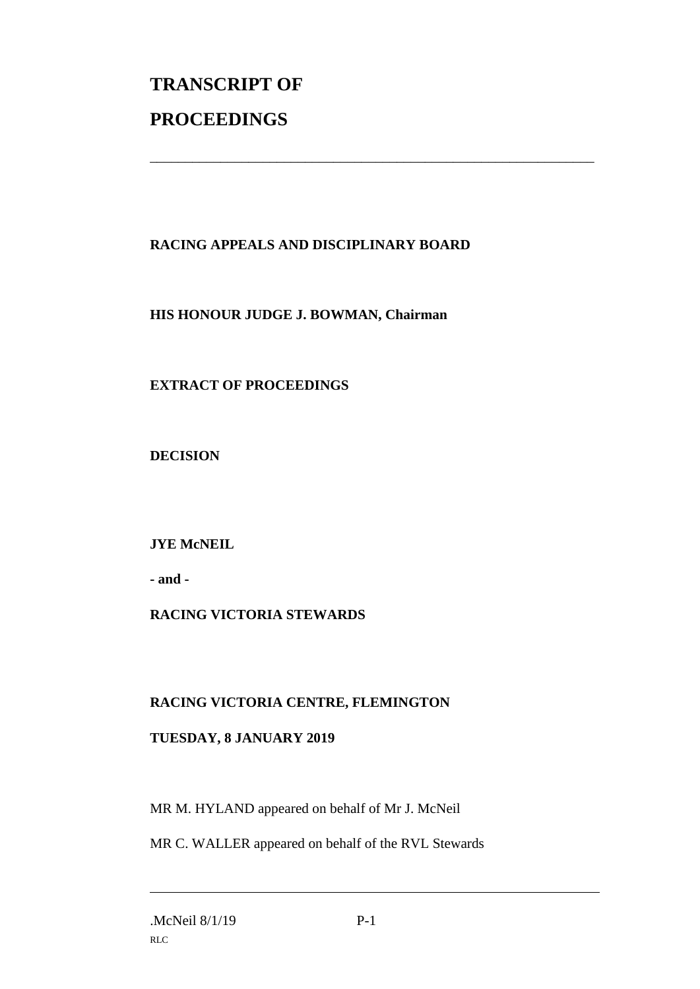# **TRANSCRIPT OF PROCEEDINGS**

## **RACING APPEALS AND DISCIPLINARY BOARD**

\_\_\_\_\_\_\_\_\_\_\_\_\_\_\_\_\_\_\_\_\_\_\_\_\_\_\_\_\_\_\_\_\_\_\_\_\_\_\_\_\_\_\_\_\_\_\_\_\_\_\_\_\_\_\_\_\_\_\_\_\_\_\_

#### **HIS HONOUR JUDGE J. BOWMAN, Chairman**

## **EXTRACT OF PROCEEDINGS**

**DECISION**

## **JYE McNEIL**

**- and -**

## **RACING VICTORIA STEWARDS**

#### **RACING VICTORIA CENTRE, FLEMINGTON**

#### **TUESDAY, 8 JANUARY 2019**

MR M. HYLAND appeared on behalf of Mr J. McNeil

MR C. WALLER appeared on behalf of the RVL Stewards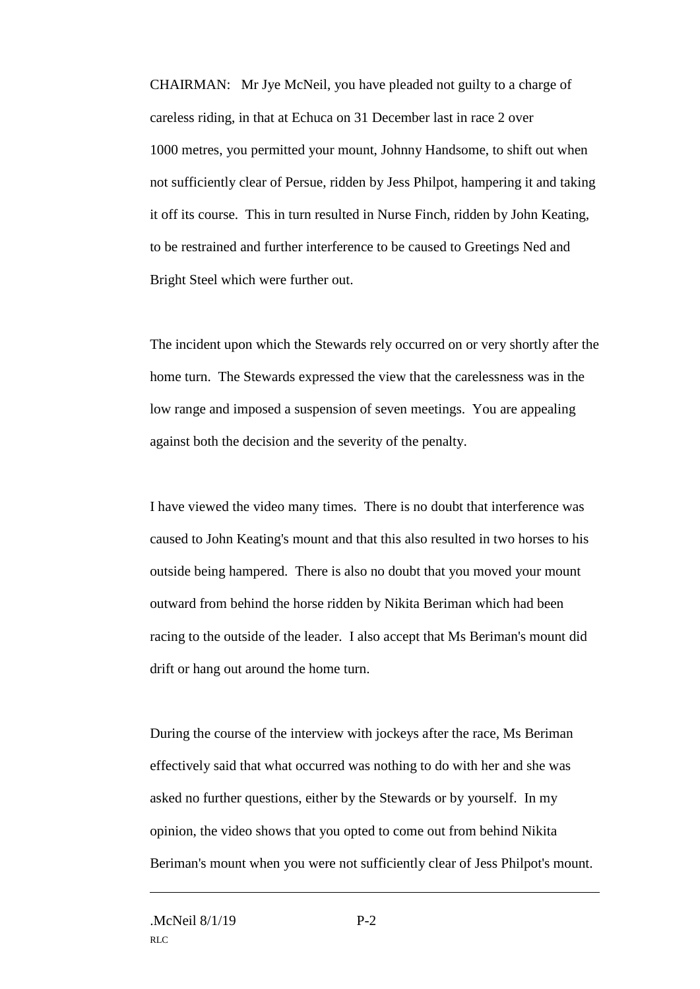CHAIRMAN: Mr Jye McNeil, you have pleaded not guilty to a charge of careless riding, in that at Echuca on 31 December last in race 2 over 1000 metres, you permitted your mount, Johnny Handsome, to shift out when not sufficiently clear of Persue, ridden by Jess Philpot, hampering it and taking it off its course. This in turn resulted in Nurse Finch, ridden by John Keating, to be restrained and further interference to be caused to Greetings Ned and Bright Steel which were further out.

The incident upon which the Stewards rely occurred on or very shortly after the home turn. The Stewards expressed the view that the carelessness was in the low range and imposed a suspension of seven meetings. You are appealing against both the decision and the severity of the penalty.

I have viewed the video many times. There is no doubt that interference was caused to John Keating's mount and that this also resulted in two horses to his outside being hampered. There is also no doubt that you moved your mount outward from behind the horse ridden by Nikita Beriman which had been racing to the outside of the leader. I also accept that Ms Beriman's mount did drift or hang out around the home turn.

During the course of the interview with jockeys after the race, Ms Beriman effectively said that what occurred was nothing to do with her and she was asked no further questions, either by the Stewards or by yourself. In my opinion, the video shows that you opted to come out from behind Nikita Beriman's mount when you were not sufficiently clear of Jess Philpot's mount.